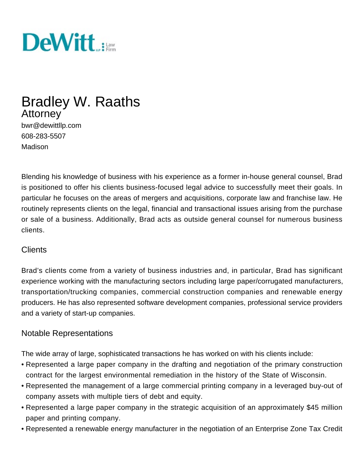

# Bradley W. Raaths Attorney

bwr@dewittllp.com 608-283-5507 Madison

Blending his knowledge of business with his experience as a former in-house general counsel, Brad is positioned to offer his clients business-focused legal advice to successfully meet their goals. In particular he focuses on the areas of mergers and acquisitions, corporate law and franchise law. He routinely represents clients on the legal, financial and transactional issues arising from the purchase or sale of a business. Additionally, Brad acts as outside general counsel for numerous business clients.

#### **Clients**

Brad's clients come from a variety of business industries and, in particular, Brad has significant experience working with the manufacturing sectors including large paper/corrugated manufacturers, transportation/trucking companies, commercial construction companies and renewable energy producers. He has also represented software development companies, professional service providers and a variety of start-up companies.

## Notable Representations

The wide array of large, sophisticated transactions he has worked on with his clients include:

- Represented a large paper company in the drafting and negotiation of the primary construction contract for the largest environmental remediation in the history of the State of Wisconsin.
- Represented the management of a large commercial printing company in a leveraged buy-out of company assets with multiple tiers of debt and equity.
- Represented a large paper company in the strategic acquisition of an approximately \$45 million paper and printing company.
- Represented a renewable energy manufacturer in the negotiation of an Enterprise Zone Tax Credit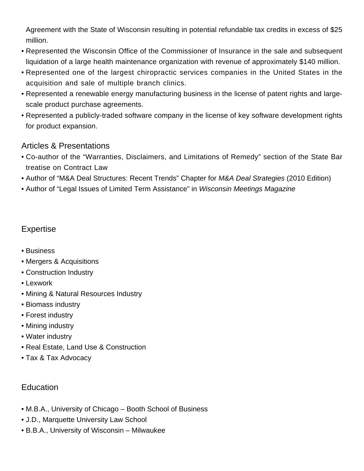Agreement with the State of Wisconsin resulting in potential refundable tax credits in excess of \$25 million.

- Represented the Wisconsin Office of the Commissioner of Insurance in the sale and subsequent liquidation of a large health maintenance organization with revenue of approximately \$140 million.
- Represented one of the largest chiropractic services companies in the United States in the acquisition and sale of multiple branch clinics.
- Represented a renewable energy manufacturing business in the license of patent rights and largescale product purchase agreements.
- Represented a publicly-traded software company in the license of key software development rights for product expansion.

#### Articles & Presentations

- Co-author of the "Warranties, Disclaimers, and Limitations of Remedy" section of the State Bar treatise on Contract Law
- Author of "M&A Deal Structures: Recent Trends" Chapter for M&A Deal Strategies (2010 Edition)
- Author of "Legal Issues of Limited Term Assistance" in Wisconsin Meetings Magazine

# Expertise

- [Business](/expertise/business)
- Mergers & Acquisitions
- [Construction Industry](/expertise/construction-industry)
- [Lexwork](/expertise/lexwork-international-referral-network)
- [Mining & Natural Resources Industry](/expertise/mining-natural-resources-industry)
- Biomass industry
- Forest industry
- Mining industry
- Water industry
- [Real Estate, Land Use & Construction](/expertise/real-estate-land-use-construction)
- [Tax & Tax Advocacy](/expertise/tax-tax-advocacy)

# **Education**

- M.B.A., University of Chicago Booth School of Business
- J.D., Marquette University Law School
- B.B.A., University of Wisconsin Milwaukee